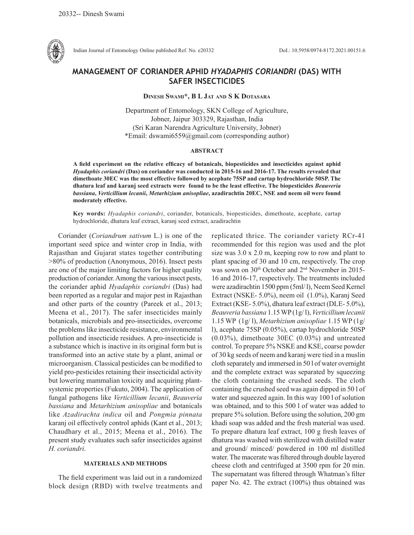

Indian Journal of Entomology Online published Ref. No. e20332 DoI.: 10.5958/0974-8172.2021.00151.6

# **MANAGEMENT OF CORIANDER APHID** *HYADAPHIS CORIANDRI* **(DAS) WITH SAFER INSECTICIDES**

## **Dinesh Swami\*, B L Jat and S K Dotasara**

Department of Entomology, SKN College of Agriculture, Jobner, Jaipur 303329, Rajasthan, India (Sri Karan Narendra Agriculture University, Jobner) \*Email: dswami6559@gmail.com (corresponding author)

#### **ABSTRACT**

**A field experiment on the relative efficacy of botanicals, biopesticides and insecticides against aphid**  *Hyadaphis coriandri* **(Das) on coriander was conducted in 2015-16 and 2016-17. The results revealed that dimethoate 30EC was the most effective followed by acephate 75SP and cartap hydrochloride 50SP. The dhatura leaf and karanj seed extracts were found to be the least effective. The biopesticides** *Beauveria bassiana***,** *Verticillium lecanii***,** *Metarhizium anisopliae***, azadirachtin 20EC, NSE and neem oil were found moderately effective.** 

**Key words:** *Hyadaphis coriandri*, coriander, botanicals, biopesticides, dimethoate, acephate, cartap hydrochloride, dhatura leaf extract, karanj seed extract, azadirachtin

Coriander (*Coriandrum sativum* L.) is one of the important seed spice and winter crop in India, with Rajasthan and Gujarat states together contributing >80% of production (Anonymous, 2016). Insect pests are one of the major limiting factors for higher quality production of coriander. Among the various insect pests, the coriander aphid *Hyadaphis coriandri* (Das) had been reported as a regular and major pest in Rajasthan and other parts of the country (Pareek et al., 2013; Meena et al., 2017). The safer insecticides mainly botanicals, microbials and pro-insecticides, overcome the problems like insecticide resistance, environmental pollution and insecticide residues. A pro-insecticide is a substance which is inactive in its original form but is transformed into an active state by a plant, animal or microorganism. Classical pesticides can be modified to yield pro-pesticides retaining their insecticidal activity but lowering mammalian toxicity and acquiring plantsystemic properties (Fukuto, 2004). The application of fungal pathogens like *Verticillium lecanii*, *Beauveria bassiana* and *Metarhizium anisopliae* and botanicals like *Azadirachta indica* oil and *Pongmia pinnata* karanj oil effectively control aphids (Kant et al., 2013; Chaudhary et al., 2015; Meena et al., 2016). The present study evaluates such safer insecticides against *H. coriandri*.

### **MATERIALS AND METHODS**

The field experiment was laid out in a randomized block design (RBD) with twelve treatments and replicated thrice. The coriander variety RCr-41 recommended for this region was used and the plot size was 3.0 x 2.0 m, keeping row to row and plant to plant spacing of 30 and 10 cm, respectively. The crop was sown on 30<sup>th</sup> October and 2<sup>nd</sup> November in 2015-16 and 2016-17, respectively. The treatments included were azadirachtin 1500 ppm (5ml/ l), Neem Seed Kernel Extract (NSKE- 5.0%), neem oil (1.0%), Karanj Seed Extract (KSE- 5.0%), dhatura leaf extract (DLE- 5.0%), *Beauveria bassiana* 1.15 WP (1g/ l), *Verticillium lecanii*  1.15 WP (1g/ l), *Metarhizium anisopliae* 1.15 WP (1g/ l), acephate 75SP (0.05%), cartap hydrochloride 50SP (0.03%), dimethoate 30EC (0.03%) and untreated control. To prepare 5% NSKE and KSE, coarse powder of 30 kg seeds of neem and karanj were tied in a muslin cloth separately and immersed in 50 l of water overnight and the complete extract was separated by squeezing the cloth containing the crushed seeds. The cloth containing the crushed seed was again dipped in 50 l of water and squeezed again. In this way 100 l of solution was obtained, and to this 500 l of water was added to prepare 5% solution. Before using the solution, 200 gm khadi soap was added and the fresh material was used. To prepare dhatura leaf extract, 100 g fresh leaves of dhatura was washed with sterilized with distilled water and ground/ minced/ powdered in 100 ml distilled water. The macerate was filtered through double layered cheese cloth and centrifuged at 3500 rpm for 20 min. The supernatant was filtered through Whatman's filter paper No. 42. The extract (100%) thus obtained was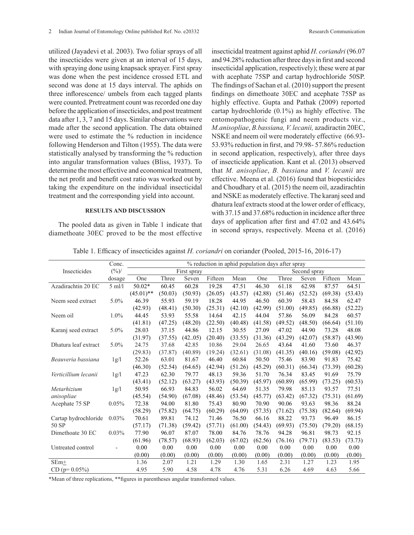utilized (Jayadevi et al. 2003). Two foliar sprays of all the insecticides were given at an interval of 15 days, with spraying done using knapsack sprayer. First spray was done when the pest incidence crossed ETL and second was done at 15 days interval. The aphids on three inflorescence/ umbels from each tagged plants were counted. Pretreatment count was recorded one day before the application of insecticides, and post treatment data after 1, 3, 7 and 15 days. Similar observations were made after the second application. The data obtained were used to estimate the % reduction in incidence following Henderson and Tilton (1955). The data were statistically analysed by transforming the % reduction into angular transformation values (Bliss, 1937). To determine the most effective and economical treatment, the net profit and benefit cost ratio was worked out by taking the expenditure on the individual insecticidal treatment and the corresponding yield into account.

#### **RESULTS AND DISCUSSION**

The pooled data as given in Table 1 indicate that diamethoate 30EC proved to be the most effective insecticidal treatment against aphid *H. coriandri* (96.07 and 94.28% reduction after three days in first and second insecticidal application, respectively); these were at par with acephate 75SP and cartap hydrochloride 50SP. The findings of Sachan et al. (2010) support the present findings on dimethoate 30EC and acephate 75SP as highly effective. Gupta and Pathak (2009) reported cartap hydrochloride (0.1%) as highly effective. The entomopathogenic fungi and neem products viz., *M.anisopliae*, *B.bassiana, V. lecanii,* azadiractin 20EC, NSKE and neem oil were moderately effective (66.93- 53.93% reduction in first, and 79.98- 57.86% reduction in second application, respectively), after three days of insecticide application. Kant et al. (2013) observed that *M. anisopliae*, *B. bassiana* and *V. lecanii* are effective. Meena et al. (2016) found that biopesticides and Choudhary et al. (2015) the neem oil, azadirachtin and NSKE as moderately effective. The karanj seed and dhatura leaf extracts stood at the lower order of efficacy, with 37.15 and 37.68% reduction in incidence after three days of application after first and 47.02 and 43.64% in second sprays, respectively. Meena et al. (2016)

Table 1. Efficacy of insecticides against *H. coriandri* on coriander (Pooled, 2015-16, 2016-17)

|                      | Conc.    | % reduction in aphid population days after spray |         |         |         |         |         |         |         |         |         |
|----------------------|----------|--------------------------------------------------|---------|---------|---------|---------|---------|---------|---------|---------|---------|
| Insecticides         | $(\%)$   | First spray<br>Second spray                      |         |         |         |         |         |         |         |         |         |
|                      | dosage   | One                                              | Three   | Seven   | Fifteen | Mean    | One     | Three   | Seven   | Fifteen | Mean    |
| Azadirachtin 20 EC   | $5$ ml/l | 50.02*                                           | 60.45   | 60.28   | 19.28   | 47.51   | 46.30   | 61.18   | 62.98   | 87.57   | 64.51   |
|                      |          | $(45.01)$ **                                     | (50.03) | (50.93) | (26.05) | (43.57) | (42.88) | (51.46) | (52.52) | (69.38) | (53.43) |
| Neem seed extract    | 5.0%     | 46.39                                            | 55.93   | 59.19   | 18.28   | 44.95   | 46.50   | 60.39   | 58.43   | 84.58   | 62.47   |
|                      |          | (42.93)                                          | (48.41) | (50.30) | (25.31) | (42.10) | (42.99) | (51.00) | (49.85) | (66.88) | (52.22) |
| Neem oil             | 1.0%     | 44.45                                            | 53.93   | 55.58   | 14.64   | 42.15   | 44.04   | 57.86   | 56.09   | 84.28   | 60.57   |
|                      |          | (41.81)                                          | (47.25) | (48.20) | (22.50) | (40.48) | (41.58) | (49.52) | (48.50) | (66.64) | (51.10) |
| Karanj seed extract  | 5.0%     | 28.03                                            | 37.15   | 44.86   | 12.15   | 30.55   | 27.09   | 47.02   | 44.90   | 73.28   | 48.08   |
|                      |          | (31.97)                                          | (37.55) | (4205)  | (20.40) | (33.55) | (31.36) | (43.29) | (42.07) | (58.87) | (43.90) |
| Dhatura leaf extract | 5.0%     | 24.75                                            | 37.68   | 42.85   | 10.86   | 29.04   | 26.65   | 43.64   | 41.60   | 73.60   | 46.37   |
|                      |          | (29.83)                                          | (37.87) | (40.89) | (19.24) | (32.61) | (31.08) | (41.35) | (40.16) | (59.08) | (42.92) |
| Beauveria bassiana   | 1g/l     | 52.26                                            | 63.01   | 81.67   | 46.40   | 60.84   | 50.50   | 75.46   | 83.90   | 91.83   | 75.42   |
|                      |          | (46.30)                                          | (52.54) | (64.65) | (42.94) | (51.26) | (45.29) | (60.31) | (66.34) | (73.39) | (60.28) |
| Verticillium lecanii | 1g/l     | 47.23                                            | 62.30   | 79.77   | 48.13   | 59.36   | 51.70   | 76.34   | 83.45   | 91.69   | 75.79   |
|                      |          | (43.41)                                          | (52.12) | (63.27) | (43.93) | (50.39) | (45.97) | (60.89) | (65.99) | (73.25) | (60.53) |
| Metarhizium          | 1g/l     | 50.95                                            | 66.93   | 84.83   | 56.02   | 64.69   | 51.35   | 79.98   | 85.13   | 93.57   | 77.51   |
| anisopliae           |          | (45.54)                                          | (54.90) | (67.08) | (48.46) | (53.54) | (45.77) | (63.42) | (67.32) | (75.31) | (61.69) |
| Acephate 75 SP       | 0.05%    | 72.38                                            | 94.00   | 81.80   | 75.43   | 80.90   | 70.90   | 90.06   | 93.63   | 98.36   | 88.24   |
|                      |          | (58.29)                                          | (75.82) | (64.75) | (60.29) | (64.09) | (57.35) | (71.62) | (75.38) | (82.64) | (69.94) |
| Cartap hydrochloride | 0.03%    | 70.61                                            | 89.81   | 74.12   | 71.46   | 76.50   | 66.16   | 88.22   | 93.73   | 96.49   | 86.15   |
| 50 SP                |          | (57.17)                                          | (71.38) | (59.42) | (57.71) | (61.00) | (54.43) | (69.93) | (75.50) | (79.20) | (68.15) |
| Dimethoate 30 EC     | 0.03%    | 77.90                                            | 96.07   | 87.07   | 78.00   | 84.76   | 78.76   | 94.28   | 96.81   | 98.73   | 92.15   |
|                      |          | (61.96)                                          | (78.57) | (68.93) | (62.03) | (67.02) | (62.56) | (76.16) | (79.71) | (83.53) | (73.73) |
| Untreated control    |          | 0.00                                             | 0.00    | 0.00    | 0.00    | 0.00    | 0.00    | 0.00    | 0.00    | 0.00    | 0.00    |
|                      |          | (0.00)                                           | (0.00)  | (0.00)  | (0.00)  | (0.00)  | (0.00)  | (0.00)  | (0.00)  | (0.00)  | (0.00)  |
| $SEm+$               |          | 1.36                                             | 2.07    | 1.21    | 1.29    | 1.30    | 1.65    | 2.31    | 1.27    | 1.23    | 1.95    |
| $CD (p=0.05%)$       |          | 4.95                                             | 5.90    | 4.58    | 4.78    | 4.76    | 5.31    | 6.26    | 4.69    | 4.63    | 5.66    |

\*Mean of three replications, \*\*figures in parentheses angular transformed values.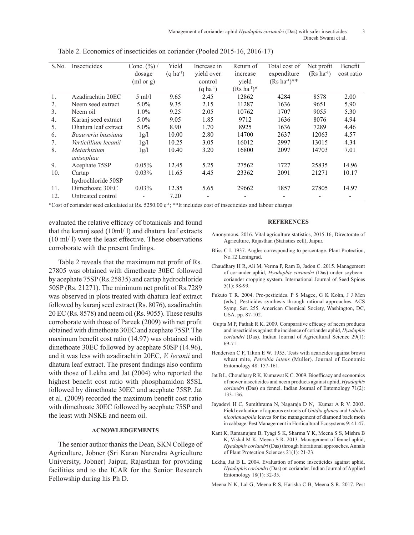| S.No.            | Insecticides         | Conc. $(\%)/$ | Yield                 | Increase in              | Return of           | Total cost of             | Net profit             | Benefit    |
|------------------|----------------------|---------------|-----------------------|--------------------------|---------------------|---------------------------|------------------------|------------|
|                  |                      | dosage        | $(q \text{ ha}^{-1})$ | yield over               | increase            | expenditure               | $(Rs \text{ ha}^{-1})$ | cost ratio |
|                  |                      | (ml or g)     |                       | control                  | vield               | $(Rs \text{ ha}^{-1})$ ** |                        |            |
|                  |                      |               |                       | $(q \text{ ha}^{-1})$    | $(Rs \, ha^{-1})^*$ |                           |                        |            |
| $\mathbf{1}$ .   | Azadirachtin 20EC    | $5$ ml/l      | 9.65                  | 2.45                     | 12862               | 4284                      | 8578                   | 2.00       |
| 2.               | Neem seed extract    | $5.0\%$       | 9.35                  | 2.15                     | 11287               | 1636                      | 9651                   | 5.90       |
| $\mathfrak{Z}$ . | Neem oil             | $1.0\%$       | 9.25                  | 2.05                     | 10762               | 1707                      | 9055                   | 5.30       |
| 4.               | Karanj seed extract  | $5.0\%$       | 9.05                  | 1.85                     | 9712                | 1636                      | 8076                   | 4.94       |
| 5.               | Dhatura leaf extract | $5.0\%$       | 8.90                  | 1.70                     | 8925                | 1636                      | 7289                   | 4.46       |
| 6.               | Beauveria bassiana   | 1g/l          | 10.00                 | 2.80                     | 14700               | 2637                      | 12063                  | 4.57       |
| 7.               | Verticillium lecanii | 1g/l          | 10.25                 | 3.05                     | 16012               | 2997                      | 13015                  | 4.34       |
| 8.               | Metarhizium          | 1g/l          | 10.40                 | 3.20                     | 16800               | 2097                      | 14703                  | 7.01       |
|                  | anisopliae           |               |                       |                          |                     |                           |                        |            |
| 9.               | Acephate 75SP        | $0.05\%$      | 12.45                 | 5.25                     | 27562               | 1727                      | 25835                  | 14.96      |
| 10.              | Cartap               | $0.03\%$      | 11.65                 | 4.45                     | 23362               | 2091                      | 21271                  | 10.17      |
|                  | hydrochloride 50SP   |               |                       |                          |                     |                           |                        |            |
| 11.              | Dimethoate 30EC      | 0.03%         | 12.85                 | 5.65                     | 29662               | 1857                      | 27805                  | 14.97      |
| 12.              | Untreated control    | -             | 7.20                  | $\overline{\phantom{a}}$ | -                   |                           |                        |            |

Table 2. Economics of insecticides on coriander (Pooled 2015-16, 2016-17)

\*Cost of coriander seed calculated at Rs.  $5250.00$  q<sup>-1</sup>; \*\*It includes cost of insecticides and labour charges

evaluated the relative efficacy of botanicals and found that the karanj seed (10ml/ l) and dhatura leaf extracts (10 ml/ l) were the least effective. These observations corroborate with the present findings.

Table 2 reveals that the maximum net profit of Rs. 27805 was obtained with dimethoate 30EC followed by acephate 75SP (Rs.25835) and cartap hydrochloride 50SP (Rs. 21271). The minimum net profit of Rs.7289 was observed in plots treated with dhatura leaf extract followed by karanj seed extract (Rs. 8076), azadirachtin 20 EC (Rs. 8578) and neem oil (Rs. 9055). These results corroborate with those of Pareek (2009) with net profit obtained with dimethoate 30EC and acephate 75SP. The maximum benefit cost ratio (14.97) was obtained with dimethoate 30EC followed by acephate 50SP (14.96), and it was less with azadirachtin 20EC, *V. lecanii* and dhatura leaf extract. The present findings also confirm with those of Lekha and Jat (2004) who reported the highest benefit cost ratio with phosphamidon 85SL followed by dimethoate 30EC and acephate 75SP. Jat et al. (2009) recorded the maximum benefit cost ratio with dimethoate 30EC followed by acephate 75SP and the least with NSKE and neem oil.

### **ACNOWLEDGEMENTS**

The senior author thanks the Dean, SKN College of Agriculture, Jobner (Sri Karan Narendra Agriculture University, Jobner) Jaipur, Rajasthan for providing facilities and to the ICAR for the Senior Research Fellowship during his Ph D.

#### **REFERENCES**

- Anonymous. 2016. Vital agriculture statistics, 2015-16, Directorate of Agriculture, Rajasthan (Statistics cell), Jaipur.
- Bliss C I. 1937. Angles corresponding to percentage. Plant Protection, No.12 Leningrad.
- Chaudhary H R, Ali M, Verma P, Ram B, Jadon C. 2015. Management of coriander aphid, *Hyadaphis coriandri* (Das) under soybean– coriander cropping system. International Journal of Seed Spices 5(1): 98-99.
- Fukuto T R. 2004. Pro-pesticides. P S Magee, G K Kohn, J J Men (eds.). Pesticides synthesis through rational approaches. ACS Symp. Ser. 255. American Chemical Society, Washington, DC, USA. pp. 87-102.
- Gupta M P, Pathak R K. 2009. Comparative efficacy of neem products and insecticides against the incidence of coriander aphid, *Hyadaphis coriandri* (Das). Indian Journal of Agricultural Science 29(1): 69-71.
- Henderson C F, Tilton E W. 1955. Tests with acaricides against brown wheat mite, *Petrobia latens* (Muller). Journal of Economic Entomology 48: 157-161.
- Jat B L, Choudhary R K, Kumawat K C. 2009. Bioefficacy and economics of newer insecticides and neem products against aphid, *Hyadaphis coriandri* (Das) on fennel. Indian Journal of Entomology 71(2): 133-136.
- Jayadevi H C, Sumithrama N, Nagaraja D N, Kumar A R V. 2003. Field evaluation of aqueous extracts of *Gnidia glauca* and *Lobelia nicotianaefolia* leaves for the management of diamond back moth in cabbage. Pest Management in Horticultural Ecosystems 9: 41-47.
- Kant K, Ramanujam B, Tyagi S K, Sharma Y K, Meena S S, Mishra B K, Vishal M K, Meena S R. 2013. Management of fennel aphid, *Hyadaphis coriandri* (Das) through biorational approaches. Annals of Plant Protection Sciences 21(1): 21-23.
- Lekha, Jat B L. 2004. Evaluation of some insecticides against aphid, *Hyadaphis coriandri* (Das) on coriander. Indian Journal of Applied Entomology 18(1): 32-35.

Meena N K, Lal G, Meena R S, Harisha C B, Meena S R. 2017. Pest